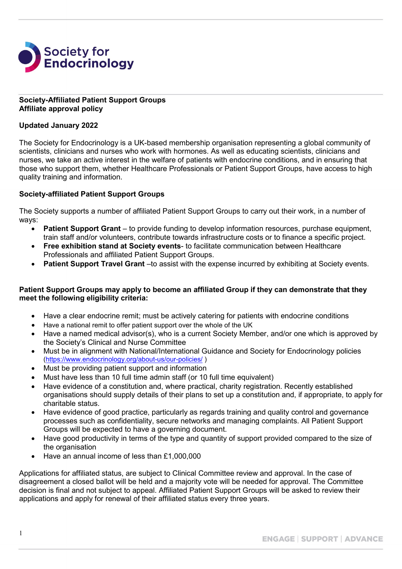

### **Society-Affiliated Patient Support Groups Affiliate approval policy**

### **Updated January 2022**

The Society for Endocrinology is a UK-based membership organisation representing a global community of scientists, clinicians and nurses who work with hormones. As well as educating scientists, clinicians and nurses, we take an active interest in the welfare of patients with endocrine conditions, and in ensuring that those who support them, whether Healthcare Professionals or Patient Support Groups, have access to high quality training and information.

## **Society-affiliated Patient Support Groups**

The Society supports a number of affiliated Patient Support Groups to carry out their work, in a number of ways:

- **Patient Support Grant** to provide funding to develop information resources, purchase equipment, train staff and/or volunteers, contribute towards infrastructure costs or to finance a specific project.
- **Free exhibition stand at Society events** to facilitate communication between Healthcare Professionals and affiliated Patient Support Groups.
- **Patient Support Travel Grant** –to assist with the expense incurred by exhibiting at Society events.

## **Patient Support Groups may apply to become an affiliated Group if they can demonstrate that they meet the following eligibility criteria:**

- Have a clear endocrine remit; must be actively catering for patients with endocrine conditions
- Have a national remit to offer patient support over the whole of the UK
- Have a named medical advisor(s), who is a current Society Member, and/or one which is approved by the Society's Clinical and Nurse Committee
- Must be in alignment with National/International Guidance and Society for Endocrinology policies [\(https://www.endocrinology.org/about-us/our-policies/](https://www.endocrinology.org/about-us/our-policies/) )
- Must be providing patient support and information
- Must have less than 10 full time admin staff (or 10 full time equivalent)
- Have evidence of a constitution and, where practical, charity registration. Recently established organisations should supply details of their plans to set up a constitution and, if appropriate, to apply for charitable status.
- Have evidence of good practice, particularly as regards training and quality control and governance processes such as confidentiality, secure networks and managing complaints. All Patient Support Groups will be expected to have a governing document.
- Have good productivity in terms of the type and quantity of support provided compared to the size of the organisation
- Have an annual income of less than £1,000,000

Applications for affiliated status, are subject to Clinical Committee review and approval. In the case of disagreement a closed ballot will be held and a majority vote will be needed for approval. The Committee decision is final and not subject to appeal. Affiliated Patient Support Groups will be asked to review their applications and apply for renewal of their affiliated status every three years.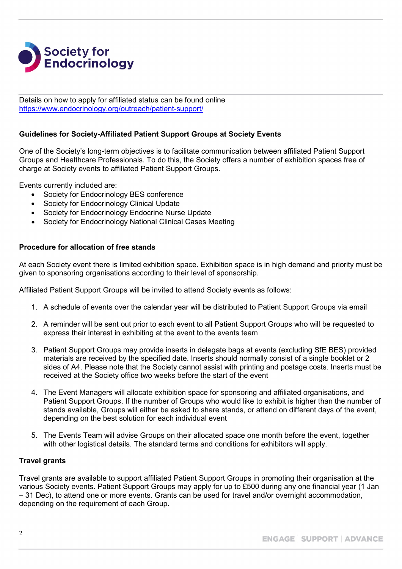

Details on how to apply for affiliated status can be found online <https://www.endocrinology.org/outreach/patient-support/>

# **Guidelines for Society-Affiliated Patient Support Groups at Society Events**

One of the Society's long-term objectives is to facilitate communication between affiliated Patient Support Groups and Healthcare Professionals. To do this, the Society offers a number of exhibition spaces free of charge at Society events to affiliated Patient Support Groups.

Events currently included are:

- Society for Endocrinology BES conference
- Society for Endocrinology Clinical Update
- Society for Endocrinology Endocrine Nurse Update
- Society for Endocrinology National Clinical Cases Meeting

#### **Procedure for allocation of free stands**

At each Society event there is limited exhibition space. Exhibition space is in high demand and priority must be given to sponsoring organisations according to their level of sponsorship.

Affiliated Patient Support Groups will be invited to attend Society events as follows:

- 1. A schedule of events over the calendar year will be distributed to Patient Support Groups via email
- 2. A reminder will be sent out prior to each event to all Patient Support Groups who will be requested to express their interest in exhibiting at the event to the events team
- 3. Patient Support Groups may provide inserts in delegate bags at events (excluding SfE BES) provided materials are received by the specified date. Inserts should normally consist of a single booklet or 2 sides of A4. Please note that the Society cannot assist with printing and postage costs. Inserts must be received at the Society office two weeks before the start of the event
- 4. The Event Managers will allocate exhibition space for sponsoring and affiliated organisations, and Patient Support Groups. If the number of Groups who would like to exhibit is higher than the number of stands available, Groups will either be asked to share stands, or attend on different days of the event, depending on the best solution for each individual event
- 5. The Events Team will advise Groups on their allocated space one month before the event, together with other logistical details. The standard terms and conditions for exhibitors will apply.

## **Travel grants**

Travel grants are available to support affiliated Patient Support Groups in promoting their organisation at the various Society events. Patient Support Groups may apply for up to £500 during any one financial year (1 Jan – 31 Dec), to attend one or more events. Grants can be used for travel and/or overnight accommodation, depending on the requirement of each Group.